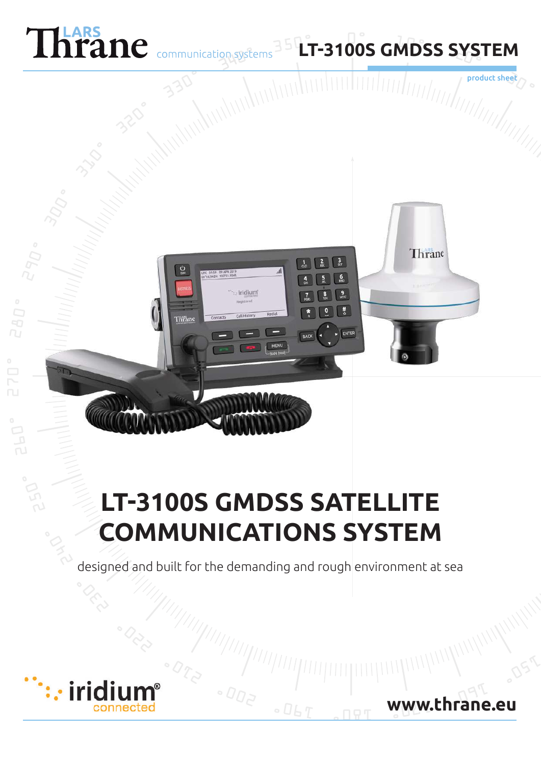

 $\frac{c}{c}$ 

**Thrane** 

iridium

# **LT-3100S GMDSS SATELLITE COMMUNICATIONS SYSTEM**

designed and built for the demanding and rough environment at sea



**www.thrane.eu**

product sh

Thrane

#

ENTER

RACK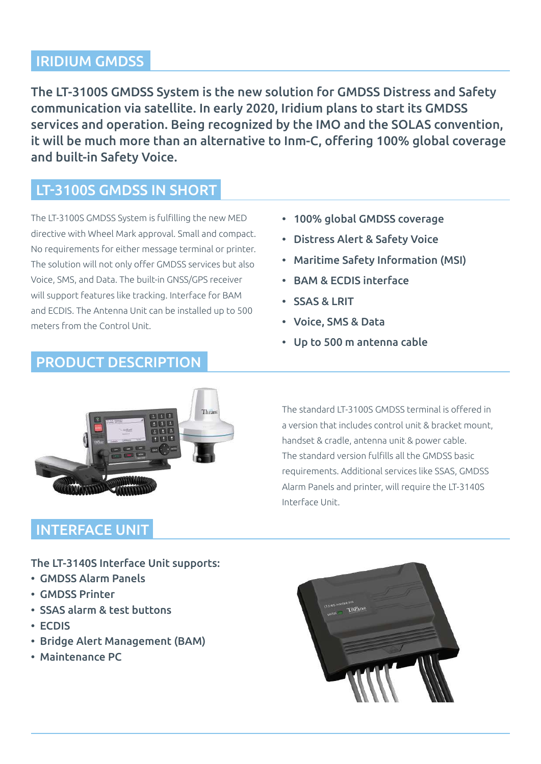### IRIDIUM GMDSS

The LT-3100S GMDSS System is the new solution for GMDSS Distress and Safety communication via satellite. In early 2020, Iridium plans to start its GMDSS services and operation. Being recognized by the IMO and the SOLAS convention, it will be much more than an alternative to Inm-C, offering 100% global coverage and built-in Safety Voice.

### LT-3100S GMDSS IN SHORT

The LT-3100S GMDSS System is fulfilling the new MED directive with Wheel Mark approval. Small and compact. No requirements for either message terminal or printer. The solution will not only offer GMDSS services but also Voice, SMS, and Data. The built-in GNSS/GPS receiver will support features like tracking. Interface for BAM and ECDIS. The Antenna Unit can be installed up to 500 meters from the Control Unit.

### • 100% global GMDSS coverage

- Distress Alert & Safety Voice
- Maritime Safety Information (MSI)
- BAM & ECDIS interface
- SSAS & LRIT
- Voice, SMS & Data
- Up to 500 m antenna cable



PRODUCT DESCRIPTION

### INTERFACE UNIT

The standard LT-3100S GMDSS terminal is offered in a version that includes control unit & bracket mount, handset & cradle, antenna unit & power cable. The standard version fulfills all the GMDSS basic requirements. Additional services like SSAS, GMDSS Alarm Panels and printer, will require the LT-3140S Interface Unit.

The LT-3140S Interface Unit supports:

- GMDSS Alarm Panels
- GMDSS Printer
- SSAS alarm & test buttons
- ECDIS
- Bridge Alert Management (BAM)
- Maintenance PC

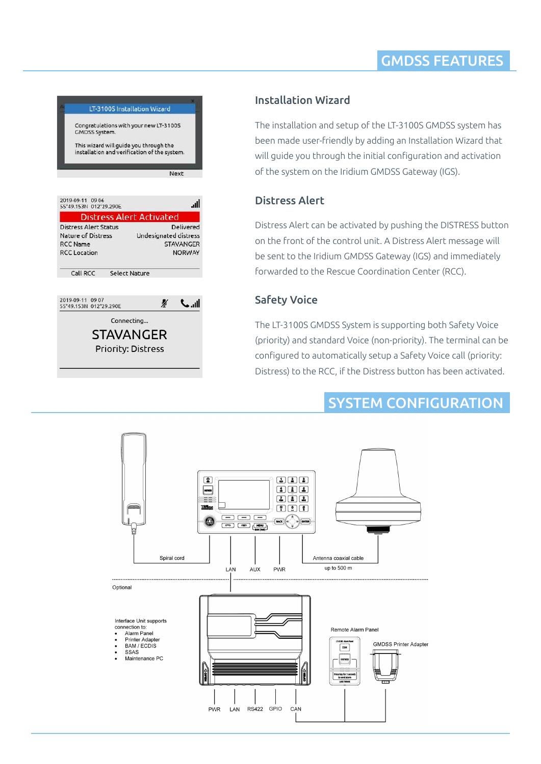## GMDSS FEATURES

|                                                                                                   | LT-3100S Installation Wizard                                            |
|---------------------------------------------------------------------------------------------------|-------------------------------------------------------------------------|
| Congratulations with your new LT-3100S<br>GMDSS System.<br>This wizard will guide you through the | installation and verification of the system.                            |
|                                                                                                   | Next                                                                    |
| 2019-09-11 09:06<br>55°49.153N 012°29.290E                                                        | -all                                                                    |
|                                                                                                   | <b>Distress Alert Activated</b>                                         |
| <b>Distress Alert Status</b><br>Nature of Distress<br><b>RCC Name</b><br><b>RCC</b> Location      | Delivered<br>Undesignated distress<br><b>STAVANGER</b><br><b>NORWAY</b> |
| Call RCC                                                                                          | <b>Select Nature</b>                                                    |
|                                                                                                   |                                                                         |
| 2019-09-11<br>09.07<br>012°29.290E<br>55°49.153N                                                  | Ø<br>$\sim$ $\sim$                                                      |
| Connecting                                                                                        |                                                                         |
|                                                                                                   | STAVANGER                                                               |
| <b>Priority: Distress</b>                                                                         |                                                                         |
|                                                                                                   |                                                                         |

### Installation Wizard

The installation and setup of the LT-3100S GMDSS system has been made user-friendly by adding an Installation Wizard that will guide you through the initial configuration and activation of the system on the Iridium GMDSS Gateway (IGS).

#### Distress Alert

Distress Alert can be activated by pushing the DISTRESS button on the front of the control unit. A Distress Alert message will be sent to the Iridium GMDSS Gateway (IGS) and immediately forwarded to the Rescue Coordination Center (RCC).

### Safety Voice

The LT-3100S GMDSS System is supporting both Safety Voice (priority) and standard Voice (non-priority). The terminal can be configured to automatically setup a Safety Voice call (priority: Distress) to the RCC, if the Distress button has been activated.

## SYSTEM CONFIGURATION